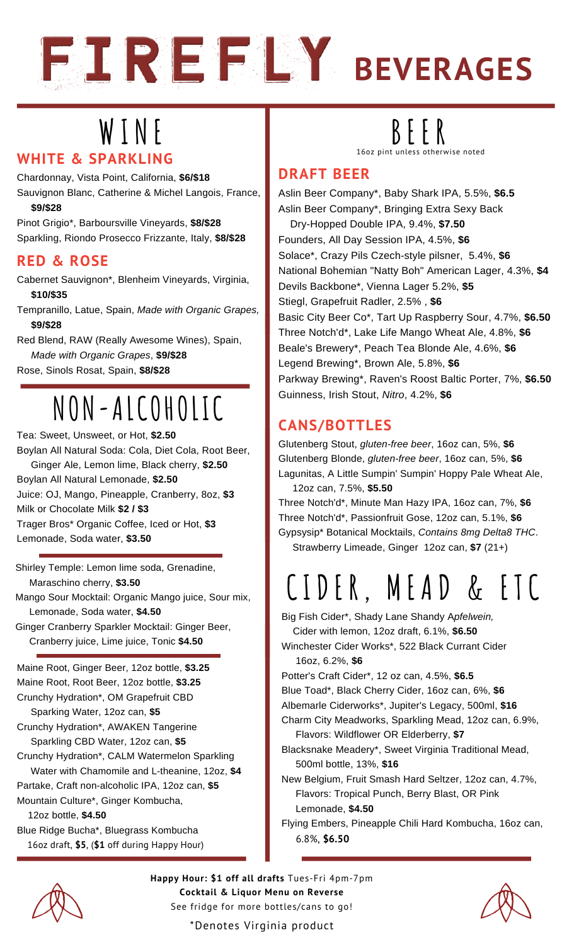

# **W I N E BE E R**

#### **WHITE & SPARKLING**

Chardonnay, Vista Point, California, **\$6/\$18**

Sauvignon Blanc, Catherine & Michel Langois, France, **\$9/\$28**

Pinot Grigio\*, Barboursville Vineyards, **\$8/\$28** Sparkling, Riondo Prosecco Frizzante, Italy, **\$8/\$28**

#### **RED & ROSE**

Cabernet Sauvignon\*, Blenheim Vineyards, Virginia, **\$10/\$35**

Tempranillo, Latue, Spain, *Made with Organic Grapes,* **\$9/\$28**

Red Blend, RAW (Really Awesome Wines), Spain, *Made with Organic Grapes*, **\$9/\$28** Rose, Sinols Rosat, Spain, **\$8/\$28**

### **NON-ALCOHOLIC**

Tea: Sweet, Unsweet, or Hot, **\$2.50** Boylan All Natural Soda: Cola, Diet Cola, Root Beer, Ginger Ale, Lemon lime, Black cherry, **\$2.50** Boylan All Natural Lemonade, **\$2.50** Juice: OJ, Mango, Pineapple, Cranberry, 8oz, **\$3** Milk or Chocolate Milk **\$2 / \$3** Trager Bros\* Organic Coffee, Iced or Hot, **\$3** Lemonade, Soda water, **\$3.50**

Shirley Temple: Lemon lime soda, Grenadine, Maraschino cherry, **\$3.50**

Mango Sour Mocktail: Organic Mango juice, Sour mix, Lemonade, Soda water, **\$4.50**

Ginger Cranberry Sparkler Mocktail: Ginger Beer, Cranberry juice, Lime juice, Tonic **\$4.50**

Maine Root, Ginger Beer, 12oz bottle, **\$3.25** Maine Root, Root Beer, 12oz bottle, **\$3.25** Crunchy Hydration\*, OM Grapefruit CBD

Sparking Water, 12oz can, **\$5** Crunchy Hydration\*, AWAKEN Tangerine Sparkling CBD Water, 12oz can, **\$5**

Crunchy Hydration\*, CALM Watermelon Sparkling Water with Chamomile and L-theanine, 12oz, **\$4**

Partake, Craft non-alcoholic IPA, 12oz can, **\$5** Mountain Culture\*, Ginger Kombucha,

12oz bottle, **\$4.50**

Blue Ridge Bucha\*, Bluegrass Kombucha 16oz draft, **\$5**, (**\$1** off during Happy Hour)

16oz pint unless otherwise noted

### **DRAFT BEER**

Aslin Beer Company\*, Baby Shark IPA, 5.5%, **\$6.5** Aslin Beer Company\*, Bringing Extra Sexy Back Dry-Hopped Double IPA, 9.4%, **\$7.50** Founders, All Day Session IPA, 4.5%, **\$6** Solace\*, Crazy Pils Czech-style pilsner, 5.4%, **\$6** National Bohemian "Natty Boh" American Lager, 4.3%, **\$4** Devils Backbone\*, Vienna Lager 5.2%, **\$5** Stiegl, Grapefruit Radler, 2.5% , **\$6** Basic City Beer Co\*, Tart Up Raspberry Sour, 4.7%, **\$6.50** Three Notch'd\*, Lake Life Mango Wheat Ale, 4.8%, **\$6** Beale's Brewery\*, Peach Tea Blonde Ale, 4.6%, **\$6** Legend Brewing\*, Brown Ale, 5.8%, **\$6** Parkway Brewing\*, Raven's Roost Baltic Porter, 7%, **\$6.50** Guinness, Irish Stout, *Nitro*, 4.2%, **\$6**

### **CANS/BOTTLES**

Glutenberg Stout, *gluten-free beer*, 16oz can, 5%, **\$6** Glutenberg Blonde, *gluten-free beer*, 16oz can, 5%, **\$6** Lagunitas, A Little Sumpin' Sumpin' Hoppy Pale Wheat Ale,

12oz can, 7.5%, **\$5.50** Three Notch'd\*, Minute Man Hazy IPA, 16oz can, 7%, **\$6** Three Notch'd\*, Passionfruit Gose, 12oz can, 5.1%, **\$6** Gypsysip\* Botanical Mocktails, *Contains 8mg Delta8 THC*.

Strawberry Limeade, Ginger 12oz can, **\$7** (21+)

## **CIDE R , M EAD & E TC**

Big Fish Cider\*, Shady Lane Shandy A*pfelwein,*

Cider with lemon, 12oz draft, 6.1%, **\$6.50**

Winchester Cider Works\*, 522 Black Currant Cider 16oz, 6.2%, **\$6**

Potter's Craft Cider\*, 12 oz can, 4.5%, **\$6.5**

Blue Toad\*, Black Cherry Cider, 16oz can, 6%, **\$6**

Albemarle Ciderworks\*, Jupiter's Legacy, 500ml, **\$16**

Charm City Meadworks, Sparkling Mead, 12oz can, 6.9%, Flavors: Wildflower OR Elderberry, **\$7**

Blacksnake Meadery\*, Sweet Virginia Traditional Mead, 500ml bottle, 13%, **\$16**

New Belgium, Fruit Smash Hard Seltzer, 12oz can, 4.7%, Flavors: Tropical Punch, Berry Blast, OR Pink Lemonade, **\$4.50**

Flying Embers, Pineapple Chili Hard Kombucha, 16oz can, 6.8%, **\$6.50**

**Happy Hour: \$1 off all drafts** Tues-Fri 4pm-7pm **Cocktail & Liquor Menu on Reverse** See fridge for more bottles/cans to go!



\*Denotes Virginia product